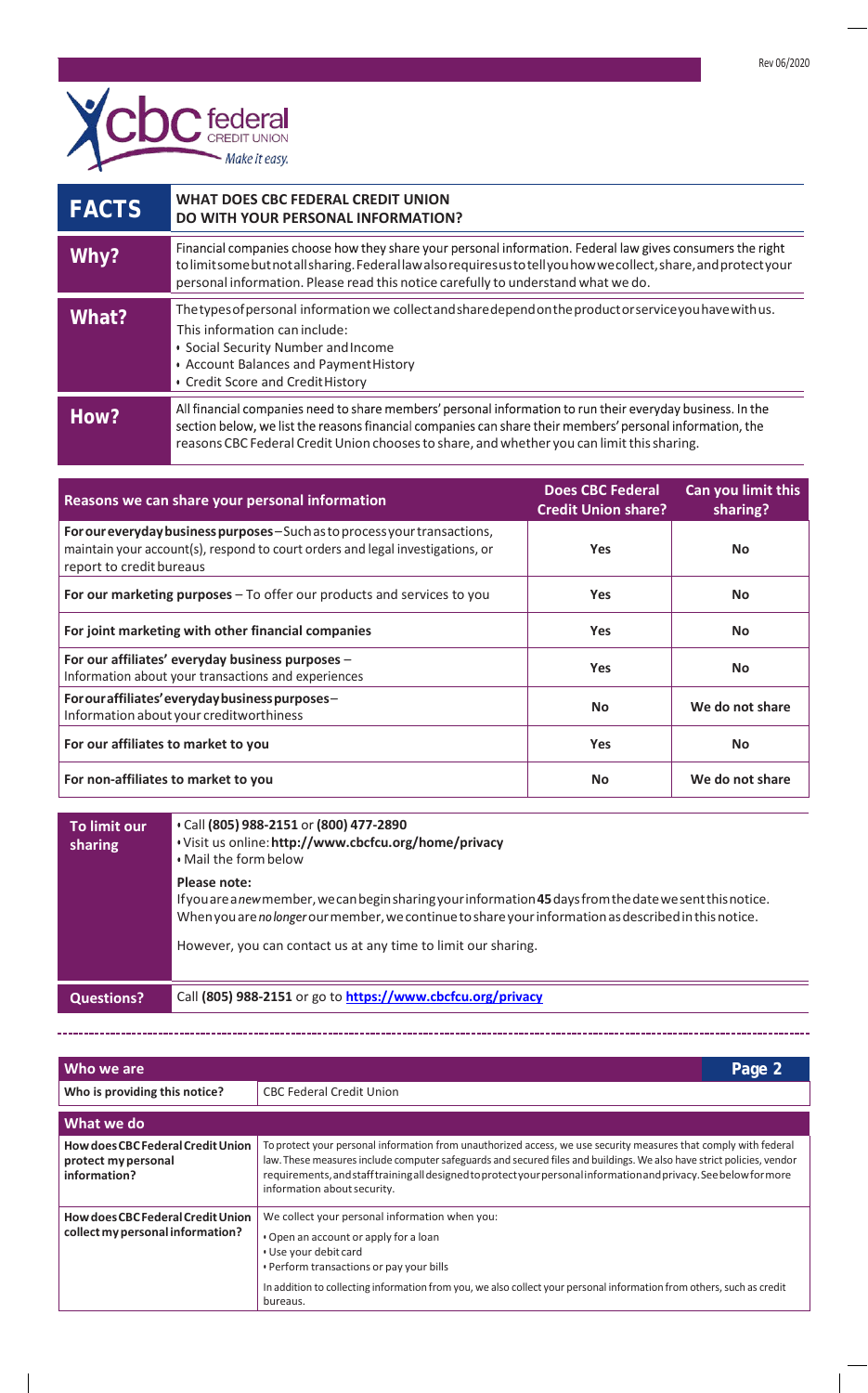

| <b>FACTS</b> | WHAT DOES CBC FEDERAL CREDIT UNION<br>DO WITH YOUR PERSONAL INFORMATION?                                                                                                                                                                                                                                              |
|--------------|-----------------------------------------------------------------------------------------------------------------------------------------------------------------------------------------------------------------------------------------------------------------------------------------------------------------------|
| Why?         | Financial companies choose how they share your personal information. Federal law gives consumers the right<br>to limit some but not all sharing. Federal law also requires us to tell you how we collect, share, and protectyour<br>personal information. Please read this notice carefully to understand what we do. |
| What?        | The types of personal information we collect and share depend on the productor service you have with us.<br>This information can include:<br>• Social Security Number and Income<br>• Account Balances and Payment History<br>• Credit Score and Credit History                                                       |
| How?         | All financial companies need to share members' personal information to run their everyday business. In the<br>section below, we list the reasons financial companies can share their members' personal information, the<br>reasons CBC Federal Credit Union chooses to share, and whether you can limit this sharing. |

| Reasons we can share your personal information                                                                                                                                           | <b>Does CBC Federal</b><br><b>Credit Union share?</b> | Can you limit this<br>sharing? |
|------------------------------------------------------------------------------------------------------------------------------------------------------------------------------------------|-------------------------------------------------------|--------------------------------|
| For our everyday business purposes - Such as to process your transactions,<br>maintain your account(s), respond to court orders and legal investigations, or<br>report to credit bureaus | <b>Yes</b>                                            | <b>No</b>                      |
| For our marketing purposes - To offer our products and services to you                                                                                                                   | <b>Yes</b>                                            | <b>No</b>                      |
| For joint marketing with other financial companies                                                                                                                                       | <b>Yes</b>                                            | <b>No</b>                      |
| For our affiliates' everyday business purposes -<br>Information about your transactions and experiences                                                                                  | <b>Yes</b>                                            | <b>No</b>                      |
| For our affiliates' every day business purposes-<br>Information about your creditworthiness                                                                                              | <b>No</b>                                             | We do not share                |
| For our affiliates to market to you                                                                                                                                                      | <b>Yes</b>                                            | <b>No</b>                      |
| For non-affiliates to market to you                                                                                                                                                      | No                                                    | We do not share                |

| To limit our<br>sharing | Call (805) 988-2151 or (800) 477-2890<br>. Visit us online: http://www.cbcfcu.org/home/privacy<br>. Mail the form below                                                                                                            |
|-------------------------|------------------------------------------------------------------------------------------------------------------------------------------------------------------------------------------------------------------------------------|
|                         | Please note:<br>If you are a new member, we can begin sharing your information 45 days from the date we sent this notice.<br>When you are no longer our member, we continue to share your information as described in this notice. |
|                         | However, you can contact us at any time to limit our sharing.                                                                                                                                                                      |
| <b>Questions?</b>       | Call (805) 988-2151 or go to https://www.cbcfcu.org/privacy                                                                                                                                                                        |

| Who we are                                                                   | Page 2                                                                                                                                                                                                                                                                                                                                                                                         |
|------------------------------------------------------------------------------|------------------------------------------------------------------------------------------------------------------------------------------------------------------------------------------------------------------------------------------------------------------------------------------------------------------------------------------------------------------------------------------------|
| Who is providing this notice?                                                | <b>CBC Federal Credit Union</b>                                                                                                                                                                                                                                                                                                                                                                |
| What we do                                                                   |                                                                                                                                                                                                                                                                                                                                                                                                |
| How does CBC Federal Credit Union<br>protect my personal<br>information?     | To protect your personal information from unauthorized access, we use security measures that comply with federal<br>law. These measures include computer safeguards and secured files and buildings. We also have strict policies, vendor<br>requirements, and staff training all designed to protect your personal information and privacy. See below for more<br>information about security. |
| <b>How does CBC Federal Credit Union</b><br>collect my personal information? | We collect your personal information when you:<br>• Open an account or apply for a loan<br>• Use your debit card<br>. Perform transactions or pay your bills<br>In addition to collecting information from you, we also collect your personal information from others, such as credit<br>bureaus.                                                                                              |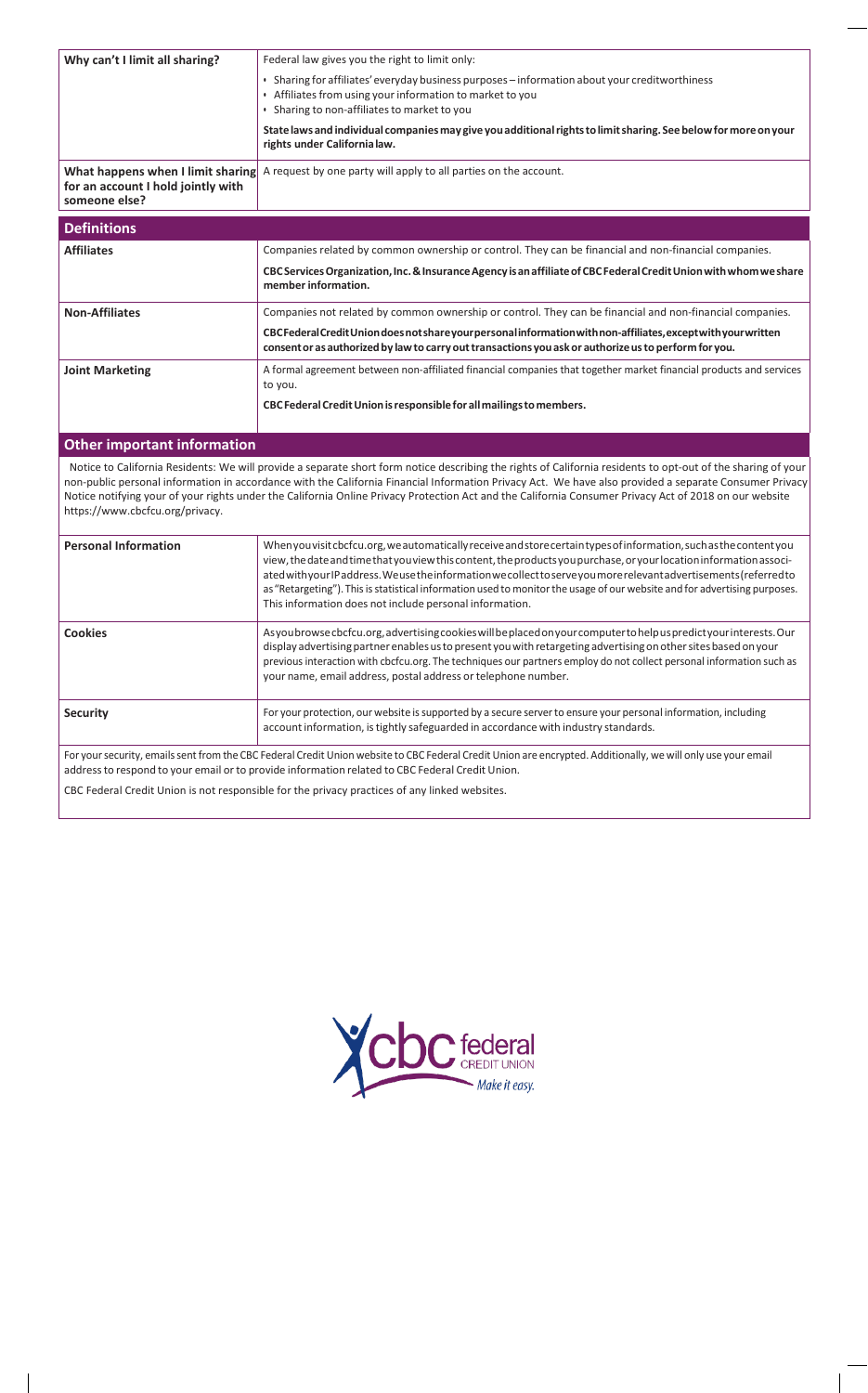| Why can't I limit all sharing?                                                           | Federal law gives you the right to limit only:                                                                                                                                                                                                                                                                                                                                                                                                                                                                                                         |
|------------------------------------------------------------------------------------------|--------------------------------------------------------------------------------------------------------------------------------------------------------------------------------------------------------------------------------------------------------------------------------------------------------------------------------------------------------------------------------------------------------------------------------------------------------------------------------------------------------------------------------------------------------|
|                                                                                          | • Sharing for affiliates' everyday business purposes - information about your creditworthiness<br>• Affiliates from using your information to market to you<br>• Sharing to non-affiliates to market to you                                                                                                                                                                                                                                                                                                                                            |
|                                                                                          | State laws and individual companies may give you additional rights to limit sharing. See below for more on your<br>rights under California law.                                                                                                                                                                                                                                                                                                                                                                                                        |
| What happens when I limit sharing<br>for an account I hold jointly with<br>someone else? | A request by one party will apply to all parties on the account.                                                                                                                                                                                                                                                                                                                                                                                                                                                                                       |
| <b>Definitions</b>                                                                       |                                                                                                                                                                                                                                                                                                                                                                                                                                                                                                                                                        |
| <b>Affiliates</b>                                                                        | Companies related by common ownership or control. They can be financial and non-financial companies.                                                                                                                                                                                                                                                                                                                                                                                                                                                   |
|                                                                                          | CBC Services Organization, Inc. & Insurance Agency is an affiliate of CBC Federal Credit Union with whom we share<br>member information.                                                                                                                                                                                                                                                                                                                                                                                                               |
| <b>Non-Affiliates</b>                                                                    | Companies not related by common ownership or control. They can be financial and non-financial companies.                                                                                                                                                                                                                                                                                                                                                                                                                                               |
|                                                                                          | CBC Federal Credit Union does not share your personal information with non-affiliates, except with your written<br>consent or as authorized by law to carry out transactions you ask or authorize us to perform for you.                                                                                                                                                                                                                                                                                                                               |
| <b>Joint Marketing</b>                                                                   | A formal agreement between non-affiliated financial companies that together market financial products and services<br>to you.                                                                                                                                                                                                                                                                                                                                                                                                                          |
|                                                                                          | CBC Federal Credit Union is responsible for all mailings to members.                                                                                                                                                                                                                                                                                                                                                                                                                                                                                   |
| <b>Other important information</b>                                                       |                                                                                                                                                                                                                                                                                                                                                                                                                                                                                                                                                        |
| https://www.cbcfcu.org/privacy.                                                          | Notice to California Residents: We will provide a separate short form notice describing the rights of California residents to opt-out of the sharing of your<br>non-public personal information in accordance with the California Financial Information Privacy Act. We have also provided a separate Consumer Privacy<br>Notice notifying your of your rights under the California Online Privacy Protection Act and the California Consumer Privacy Act of 2018 on our website                                                                       |
| <b>Personal Information</b>                                                              | Whenyouvisit cbcfcu.org, we automatically receive and store certain types of information, such as the contentyou<br>view, the date and time that you view this content, the products you purchase, or your location information associ-<br>ated with your IP address. We use the information we collect to serve you more relevant advertisements (referred to<br>as "Retargeting"). This is statistical information used to monitor the usage of our website and for advertising purposes.<br>This information does not include personal information. |
| <b>Cookies</b>                                                                           | Asyou browse cbcfcu.org, advertising cookies will be placed on your computer to help us predictyour interests. Our<br>display advertising partner enables us to present you with retargeting advertising on other sites based on your<br>previous interaction with cbcfcu.org. The techniques our partners employ do not collect personal information such as<br>your name, email address, postal address or telephone number.                                                                                                                         |
| <b>Security</b>                                                                          | For your protection, our website is supported by a secure server to ensure your personal information, including<br>account information, is tightly safeguarded in accordance with industry standards.                                                                                                                                                                                                                                                                                                                                                  |

For your security, emails sent from the CBC Federal Credit Union website to CBC Federal Credit Union are encrypted. Additionally, we will only use your email address to respond to your email or to provide information related to CBC Federal Credit Union.

CBC Federal Credit Union is not responsible for the privacy practices of any linked websites.

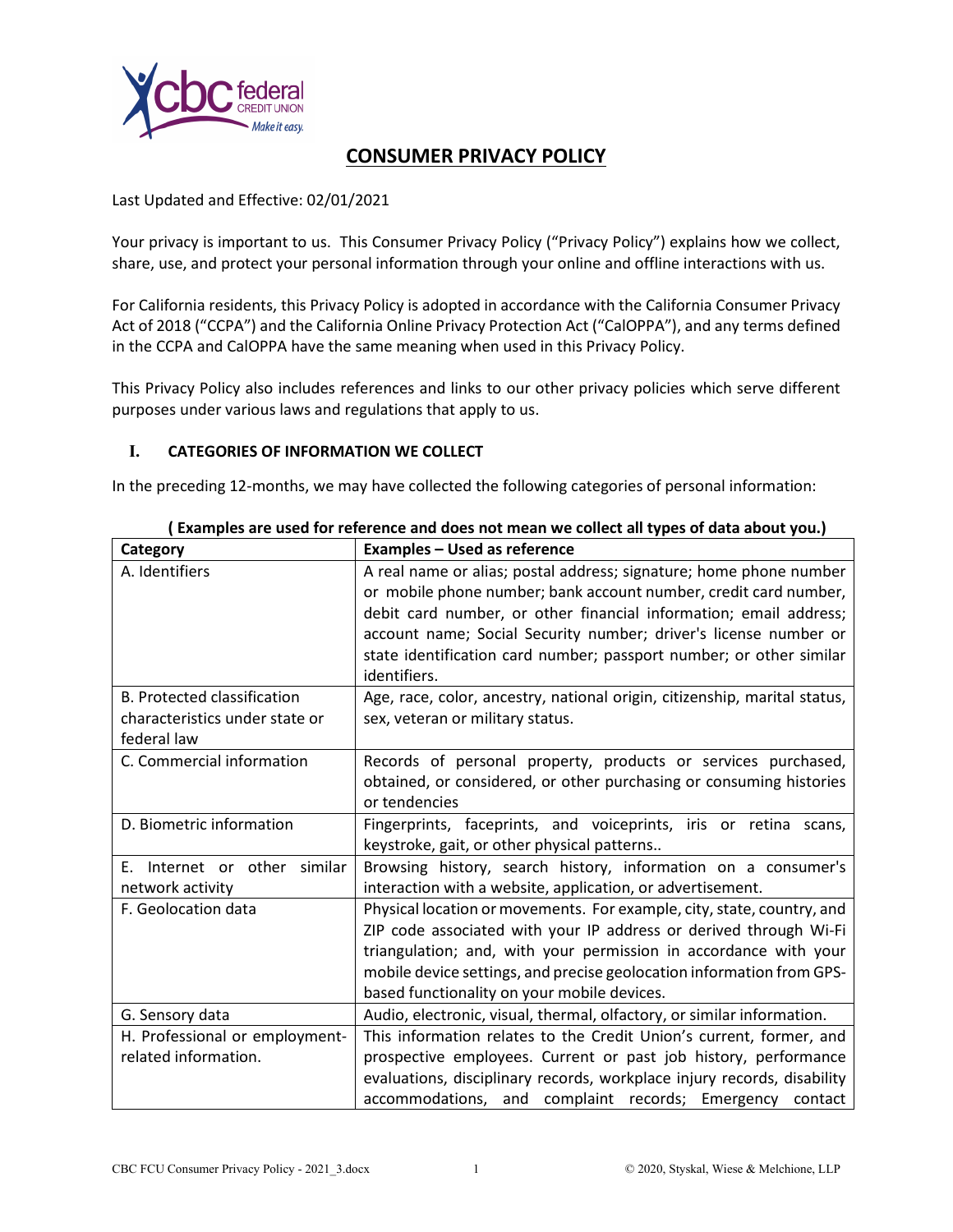

# **CONSUMER PRIVACY POLICY**

# Last Updated and Effective: 02/01/2021

Your privacy is important to us. This Consumer Privacy Policy ("Privacy Policy") explains how we collect, share, use, and protect your personal information through your online and offline interactions with us.

For California residents, this Privacy Policy is adopted in accordance with the California Consumer Privacy Act of 2018 ("CCPA") and the California Online Privacy Protection Act ("CalOPPA"), and any terms defined in the CCPA and CalOPPA have the same meaning when used in this Privacy Policy.

This Privacy Policy also includes references and links to our other privacy policies which serve different purposes under various laws and regulations that apply to us.

### **I. CATEGORIES OF INFORMATION WE COLLECT**

In the preceding 12-months, we may have collected the following categories of personal information:

| Category                           | <b>Examples - Used as reference</b>                                                                                                                                                                                                                                                                                                                                    |
|------------------------------------|------------------------------------------------------------------------------------------------------------------------------------------------------------------------------------------------------------------------------------------------------------------------------------------------------------------------------------------------------------------------|
| A. Identifiers                     | A real name or alias; postal address; signature; home phone number<br>or mobile phone number; bank account number, credit card number,<br>debit card number, or other financial information; email address;<br>account name; Social Security number; driver's license number or<br>state identification card number; passport number; or other similar<br>identifiers. |
| <b>B. Protected classification</b> | Age, race, color, ancestry, national origin, citizenship, marital status,                                                                                                                                                                                                                                                                                              |
| characteristics under state or     | sex, veteran or military status.                                                                                                                                                                                                                                                                                                                                       |
| federal law                        |                                                                                                                                                                                                                                                                                                                                                                        |
| C. Commercial information          | Records of personal property, products or services purchased,                                                                                                                                                                                                                                                                                                          |
|                                    | obtained, or considered, or other purchasing or consuming histories                                                                                                                                                                                                                                                                                                    |
|                                    | or tendencies                                                                                                                                                                                                                                                                                                                                                          |
| D. Biometric information           | Fingerprints, faceprints, and voiceprints, iris or retina scans,                                                                                                                                                                                                                                                                                                       |
|                                    | keystroke, gait, or other physical patterns                                                                                                                                                                                                                                                                                                                            |
| Internet or other similar<br>Ε.    | Browsing history, search history, information on a consumer's                                                                                                                                                                                                                                                                                                          |
| network activity                   | interaction with a website, application, or advertisement.                                                                                                                                                                                                                                                                                                             |
| F. Geolocation data                | Physical location or movements. For example, city, state, country, and                                                                                                                                                                                                                                                                                                 |
|                                    | ZIP code associated with your IP address or derived through Wi-Fi                                                                                                                                                                                                                                                                                                      |
|                                    | triangulation; and, with your permission in accordance with your                                                                                                                                                                                                                                                                                                       |
|                                    | mobile device settings, and precise geolocation information from GPS-                                                                                                                                                                                                                                                                                                  |
|                                    | based functionality on your mobile devices.                                                                                                                                                                                                                                                                                                                            |
| G. Sensory data                    | Audio, electronic, visual, thermal, olfactory, or similar information.                                                                                                                                                                                                                                                                                                 |
| H. Professional or employment-     | This information relates to the Credit Union's current, former, and                                                                                                                                                                                                                                                                                                    |
| related information.               | prospective employees. Current or past job history, performance                                                                                                                                                                                                                                                                                                        |
|                                    | evaluations, disciplinary records, workplace injury records, disability                                                                                                                                                                                                                                                                                                |
|                                    | accommodations, and complaint records; Emergency contact                                                                                                                                                                                                                                                                                                               |

**( Examples are used for reference and does not mean we collect all types of data about you.)**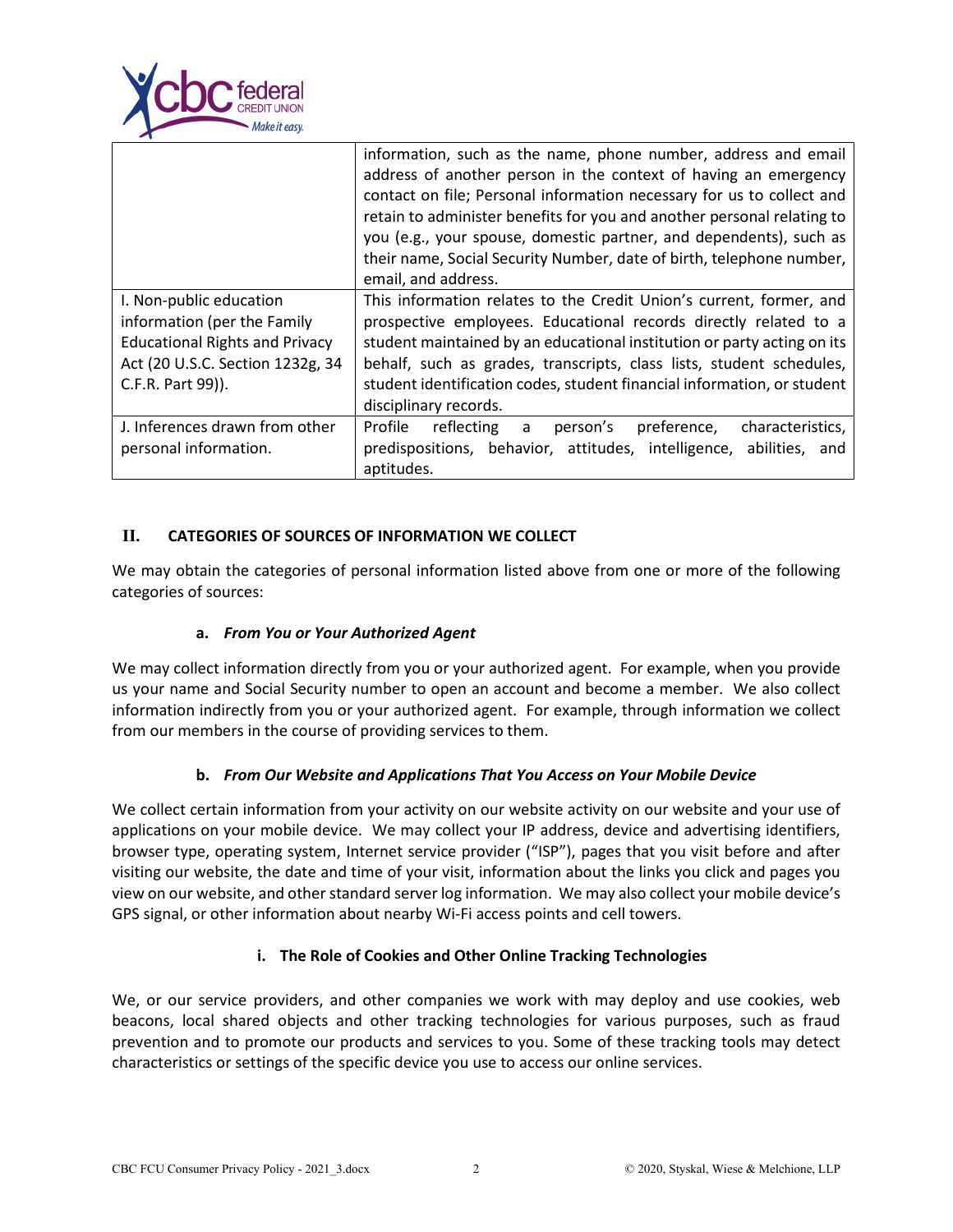

|                                       | information, such as the name, phone number, address and email          |
|---------------------------------------|-------------------------------------------------------------------------|
|                                       | address of another person in the context of having an emergency         |
|                                       | contact on file; Personal information necessary for us to collect and   |
|                                       | retain to administer benefits for you and another personal relating to  |
|                                       | you (e.g., your spouse, domestic partner, and dependents), such as      |
|                                       | their name, Social Security Number, date of birth, telephone number,    |
|                                       | email, and address.                                                     |
| I. Non-public education               | This information relates to the Credit Union's current, former, and     |
| information (per the Family           | prospective employees. Educational records directly related to a        |
| <b>Educational Rights and Privacy</b> | student maintained by an educational institution or party acting on its |
| Act (20 U.S.C. Section 1232g, 34      | behalf, such as grades, transcripts, class lists, student schedules,    |
| C.F.R. Part 99)).                     | student identification codes, student financial information, or student |
|                                       | disciplinary records.                                                   |
| J. Inferences drawn from other        | Profile<br>reflecting a<br>person's preference, characteristics,        |
| personal information.                 | predispositions, behavior, attitudes, intelligence, abilities, and      |
|                                       | aptitudes.                                                              |

# **II. CATEGORIES OF SOURCES OF INFORMATION WE COLLECT**

We may obtain the categories of personal information listed above from one or more of the following categories of sources:

### **a.** *From You or Your Authorized Agent*

We may collect information directly from you or your authorized agent. For example, when you provide us your name and Social Security number to open an account and become a member. We also collect information indirectly from you or your authorized agent. For example, through information we collect from our members in the course of providing services to them.

### **b.** *From Our Website and Applications That You Access on Your Mobile Device*

We collect certain information from your activity on our website activity on our website and your use of applications on your mobile device. We may collect your IP address, device and advertising identifiers, browser type, operating system, Internet service provider ("ISP"), pages that you visit before and after visiting our website, the date and time of your visit, information about the links you click and pages you view on our website, and other standard server log information. We may also collect your mobile device's GPS signal, or other information about nearby Wi-Fi access points and cell towers.

### **i. The Role of Cookies and Other Online Tracking Technologies**

We, or our service providers, and other companies we work with may deploy and use cookies, web beacons, local shared objects and other tracking technologies for various purposes, such as fraud prevention and to promote our products and services to you. Some of these tracking tools may detect characteristics or settings of the specific device you use to access our online services.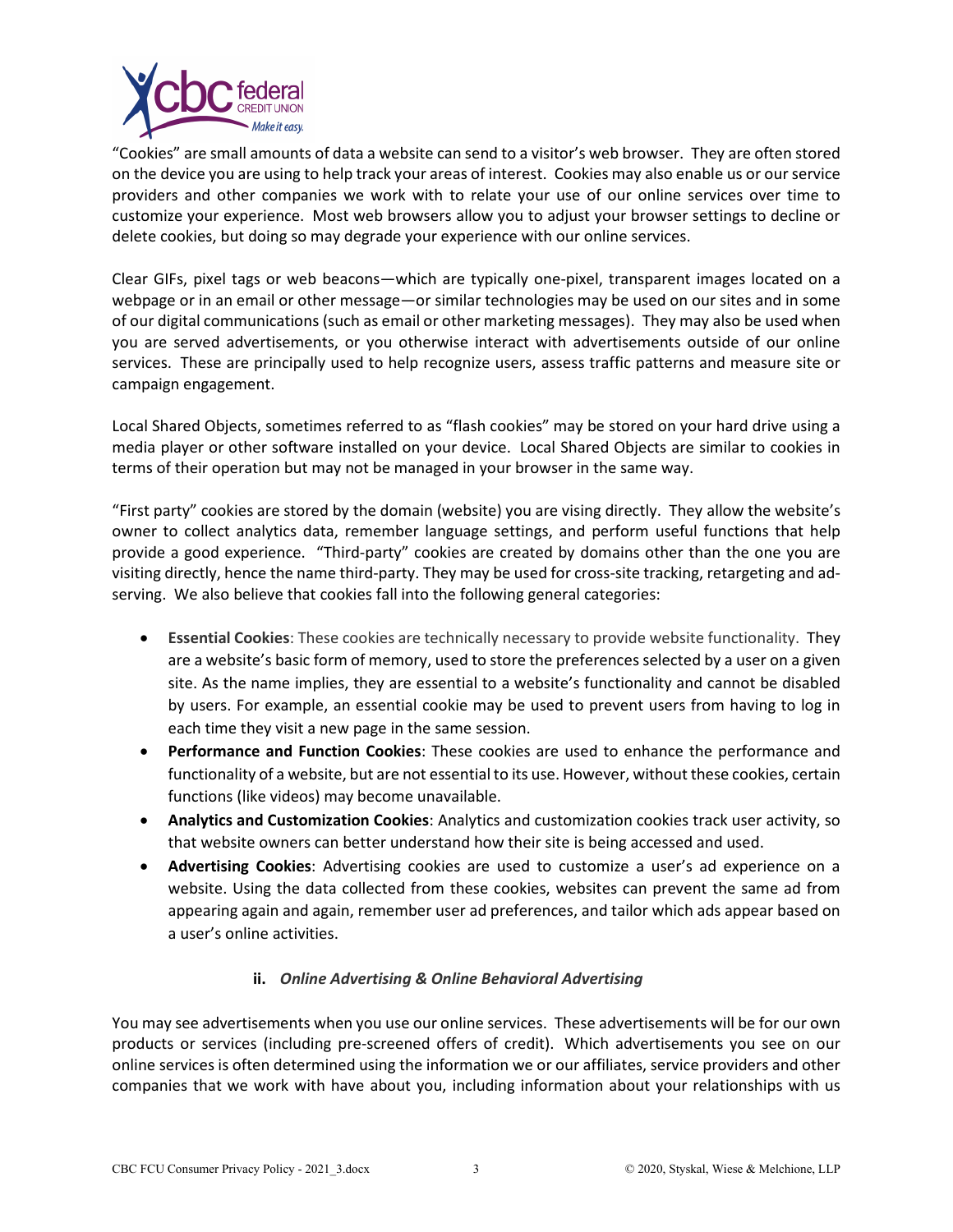

"Cookies" are small amounts of data a website can send to a visitor's web browser. They are often stored on the device you are using to help track your areas of interest. Cookies may also enable us or our service providers and other companies we work with to relate your use of our online services over time to customize your experience. Most web browsers allow you to adjust your browser settings to decline or delete cookies, but doing so may degrade your experience with our online services.

Clear GIFs, pixel tags or web beacons—which are typically one-pixel, transparent images located on a webpage or in an email or other message—or similar technologies may be used on our sites and in some of our digital communications (such as email or other marketing messages). They may also be used when you are served advertisements, or you otherwise interact with advertisements outside of our online services. These are principally used to help recognize users, assess traffic patterns and measure site or campaign engagement.

Local Shared Objects, sometimes referred to as "flash cookies" may be stored on your hard drive using a media player or other software installed on your device. Local Shared Objects are similar to cookies in terms of their operation but may not be managed in your browser in the same way.

"First party" cookies are stored by the domain (website) you are vising directly. They allow the website's owner to collect analytics data, remember language settings, and perform useful functions that help provide a good experience. "Third-party" cookies are created by domains other than the one you are visiting directly, hence the name third-party. They may be used for cross-site tracking, retargeting and adserving. We also believe that cookies fall into the following general categories:

- **Essential Cookies**: These cookies are technically necessary to provide website functionality. They are a website's basic form of memory, used to store the preferences selected by a user on a given site. As the name implies, they are essential to a website's functionality and cannot be disabled by users. For example, an essential cookie may be used to prevent users from having to log in each time they visit a new page in the same session.
- **Performance and Function Cookies**: These cookies are used to enhance the performance and functionality of a website, but are not essential to its use. However, without these cookies, certain functions (like videos) may become unavailable.
- **Analytics and Customization Cookies**: Analytics and customization cookies track user activity, so that website owners can better understand how their site is being accessed and used.
- **Advertising Cookies**: Advertising cookies are used to customize a user's ad experience on a website. Using the data collected from these cookies, websites can prevent the same ad from appearing again and again, remember user ad preferences, and tailor which ads appear based on a user's online activities.

# **ii.** *Online Advertising & Online Behavioral Advertising*

You may see advertisements when you use our online services. These advertisements will be for our own products or services (including pre-screened offers of credit). Which advertisements you see on our online services is often determined using the information we or our affiliates, service providers and other companies that we work with have about you, including information about your relationships with us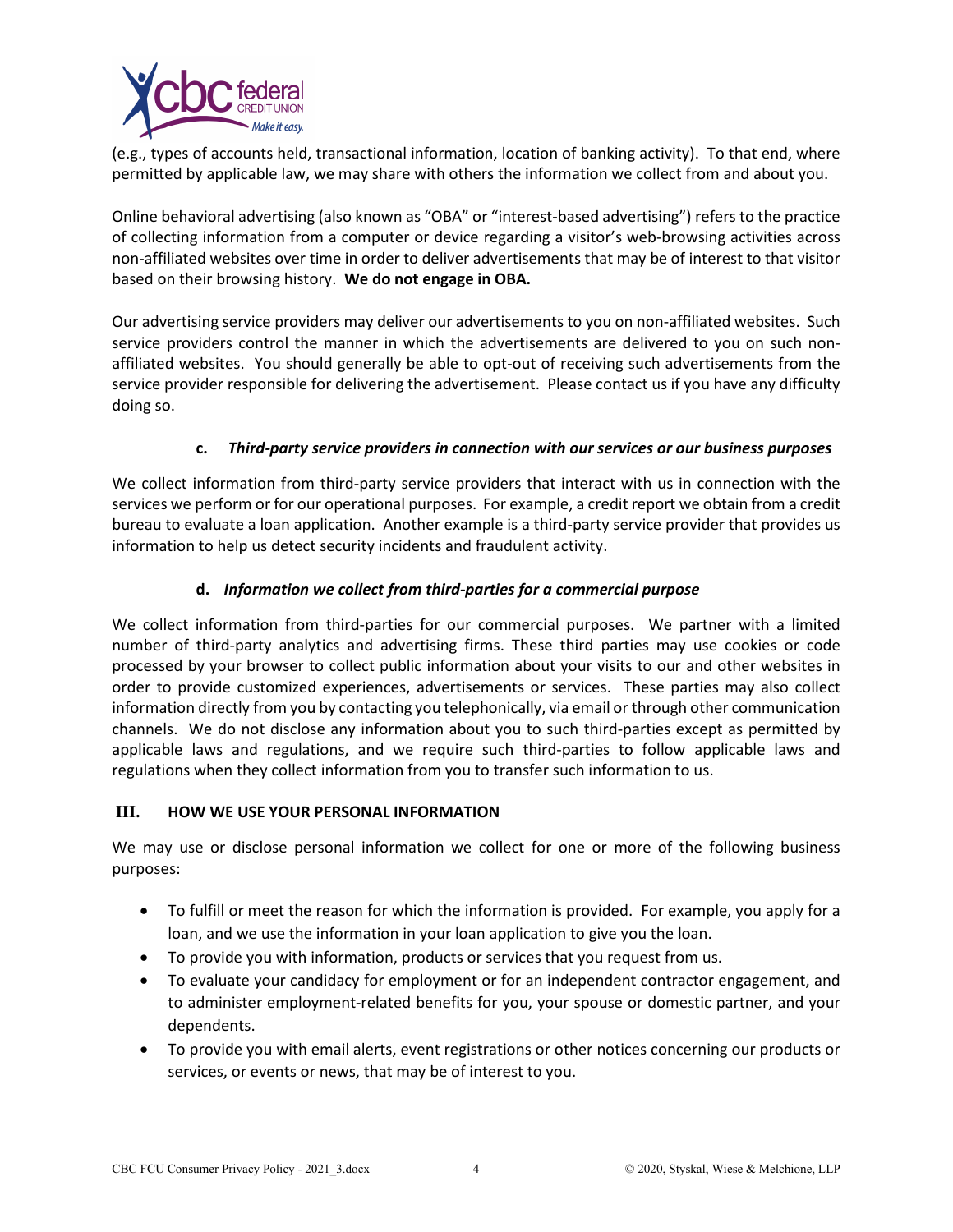

(e.g., types of accounts held, transactional information, location of banking activity). To that end, where permitted by applicable law, we may share with others the information we collect from and about you.

Online behavioral advertising (also known as "OBA" or "interest-based advertising") refers to the practice of collecting information from a computer or device regarding a visitor's web-browsing activities across non-affiliated websites over time in order to deliver advertisements that may be of interest to that visitor based on their browsing history. **We do not engage in OBA.**

Our advertising service providers may deliver our advertisements to you on non-affiliated websites. Such service providers control the manner in which the advertisements are delivered to you on such nonaffiliated websites. You should generally be able to opt-out of receiving such advertisements from the service provider responsible for delivering the advertisement. Please contact us if you have any difficulty doing so.

# **c.** *Third-party service providers in connection with our services or our business purposes*

We collect information from third-party service providers that interact with us in connection with the services we perform or for our operational purposes. For example, a credit report we obtain from a credit bureau to evaluate a loan application. Another example is a third-party service provider that provides us information to help us detect security incidents and fraudulent activity.

# **d.** *Information we collect from third-parties for a commercial purpose*

We collect information from third-parties for our commercial purposes. We partner with a limited number of third-party analytics and advertising firms. These third parties may use cookies or code processed by your browser to collect public information about your visits to our and other websites in order to provide customized experiences, advertisements or services. These parties may also collect information directly from you by contacting you telephonically, via email or through other communication channels. We do not disclose any information about you to such third-parties except as permitted by applicable laws and regulations, and we require such third-parties to follow applicable laws and regulations when they collect information from you to transfer such information to us.

### **III. HOW WE USE YOUR PERSONAL INFORMATION**

We may use or disclose personal information we collect for one or more of the following business purposes:

- To fulfill or meet the reason for which the information is provided. For example, you apply for a loan, and we use the information in your loan application to give you the loan.
- To provide you with information, products or services that you request from us.
- To evaluate your candidacy for employment or for an independent contractor engagement, and to administer employment-related benefits for you, your spouse or domestic partner, and your dependents.
- To provide you with email alerts, event registrations or other notices concerning our products or services, or events or news, that may be of interest to you.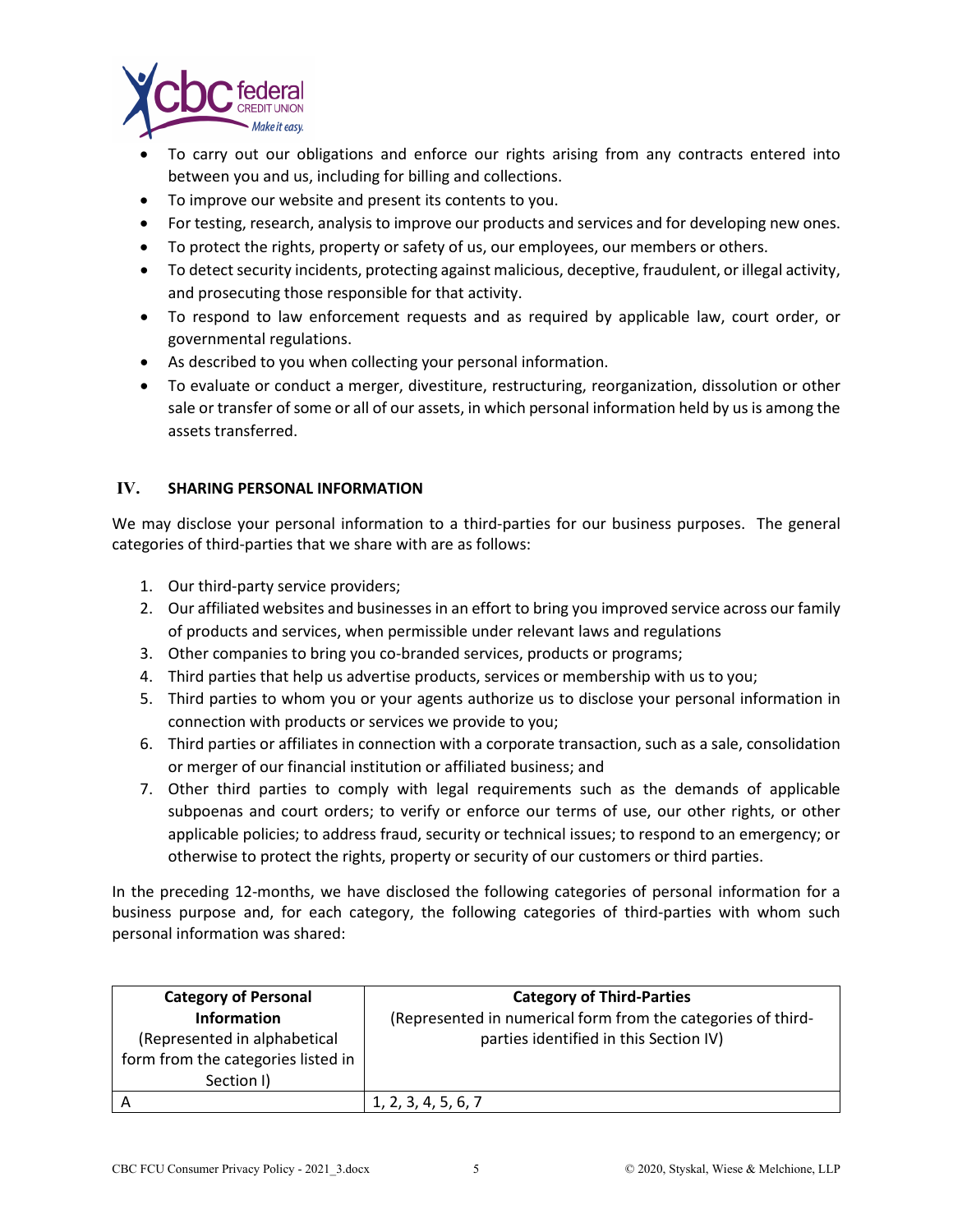

- To carry out our obligations and enforce our rights arising from any contracts entered into between you and us, including for billing and collections.
- To improve our website and present its contents to you.
- For testing, research, analysis to improve our products and services and for developing new ones.
- To protect the rights, property or safety of us, our employees, our members or others.
- To detect security incidents, protecting against malicious, deceptive, fraudulent, or illegal activity, and prosecuting those responsible for that activity.
- To respond to law enforcement requests and as required by applicable law, court order, or governmental regulations.
- As described to you when collecting your personal information.
- To evaluate or conduct a merger, divestiture, restructuring, reorganization, dissolution or other sale or transfer of some or all of our assets, in which personal information held by us is among the assets transferred.

### **IV. SHARING PERSONAL INFORMATION**

We may disclose your personal information to a third-parties for our business purposes. The general categories of third-parties that we share with are as follows:

- 1. Our third-party service providers;
- 2. Our affiliated websites and businesses in an effort to bring you improved service across our family of products and services, when permissible under relevant laws and regulations
- 3. Other companies to bring you co-branded services, products or programs;
- 4. Third parties that help us advertise products, services or membership with us to you;
- 5. Third parties to whom you or your agents authorize us to disclose your personal information in connection with products or services we provide to you;
- 6. Third parties or affiliates in connection with a corporate transaction, such as a sale, consolidation or merger of our financial institution or affiliated business; and
- 7. Other third parties to comply with legal requirements such as the demands of applicable subpoenas and court orders; to verify or enforce our terms of use, our other rights, or other applicable policies; to address fraud, security or technical issues; to respond to an emergency; or otherwise to protect the rights, property or security of our customers or third parties.

In the preceding 12-months, we have disclosed the following categories of personal information for a business purpose and, for each category, the following categories of third-parties with whom such personal information was shared:

| <b>Category of Personal</b>        | <b>Category of Third-Parties</b>                             |
|------------------------------------|--------------------------------------------------------------|
| <b>Information</b>                 | (Represented in numerical form from the categories of third- |
| (Represented in alphabetical       | parties identified in this Section IV)                       |
| form from the categories listed in |                                                              |
| Section I)                         |                                                              |
|                                    | 1, 2, 3, 4, 5, 6, 7                                          |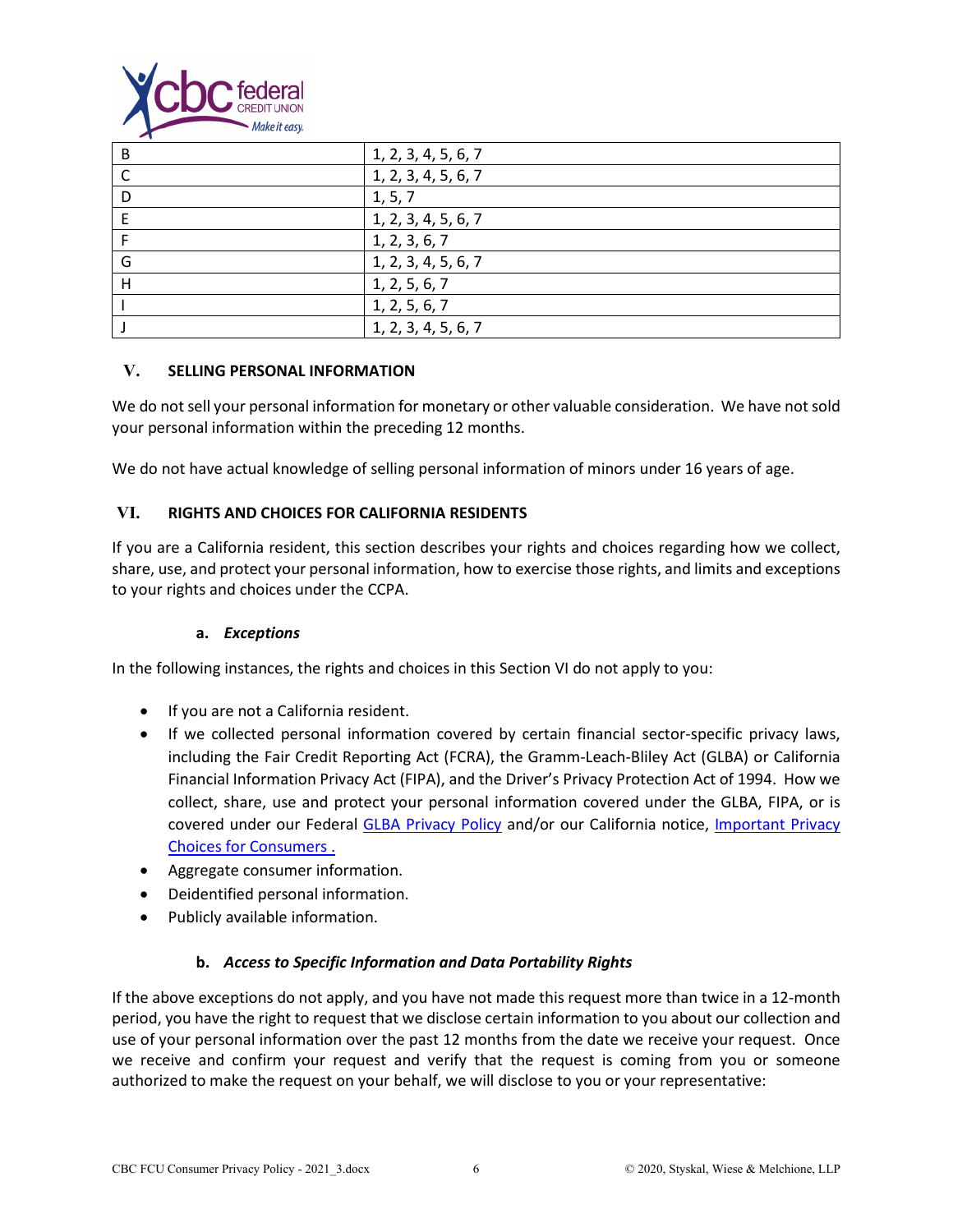

| . . |                     |
|-----|---------------------|
| B   | 1, 2, 3, 4, 5, 6, 7 |
|     | 1, 2, 3, 4, 5, 6, 7 |
| D   | 1, 5, 7             |
|     | 1, 2, 3, 4, 5, 6, 7 |
|     | 1, 2, 3, 6, 7       |
| G   | 1, 2, 3, 4, 5, 6, 7 |
| н   | 1, 2, 5, 6, 7       |
|     | 1, 2, 5, 6, 7       |
|     | 1, 2, 3, 4, 5, 6, 7 |

### **V. SELLING PERSONAL INFORMATION**

We do not sell your personal information for monetary or other valuable consideration. We have not sold your personal information within the preceding 12 months.

We do not have actual knowledge of selling personal information of minors under 16 years of age.

# **VI. RIGHTS AND CHOICES FOR CALIFORNIA RESIDENTS**

If you are a California resident, this section describes your rights and choices regarding how we collect, share, use, and protect your personal information, how to exercise those rights, and limits and exceptions to your rights and choices under the CCPA.

### **a.** *Exceptions*

In the following instances, the rights and choices in this Section VI do not apply to you:

- If you are not a California resident.
- If we collected personal information covered by certain financial sector-specific privacy laws, including the Fair Credit Reporting Act (FCRA), the Gramm-Leach-Bliley Act (GLBA) or California Financial Information Privacy Act (FIPA), and the Driver's Privacy Protection Act of 1994. How we collect, share, use and protect your personal information covered under the GLBA, FIPA, or is covered under our Federal [GLBA Privacy Policy](https://www.cbcfcu.org/sites/www.cbcfcu.org/files/6.2020_federal_financial_privacy_policy.pdf) and/or our California notice, [Important Privacy](https://www.cbcfcu.org/sites/www.cbcfcu.org/files/6.2020_sb-1_opt-out_notice_important_privacy_choices_for_consumers.pdf)  [Choices for Consumers](https://www.cbcfcu.org/sites/www.cbcfcu.org/files/6.2020_sb-1_opt-out_notice_important_privacy_choices_for_consumers.pdf) .
- Aggregate consumer information.
- Deidentified personal information.
- Publicly available information.

### **b.** *Access to Specific Information and Data Portability Rights*

If the above exceptions do not apply, and you have not made this request more than twice in a 12-month period, you have the right to request that we disclose certain information to you about our collection and use of your personal information over the past 12 months from the date we receive your request. Once we receive and confirm your request and verify that the request is coming from you or someone authorized to make the request on your behalf, we will disclose to you or your representative: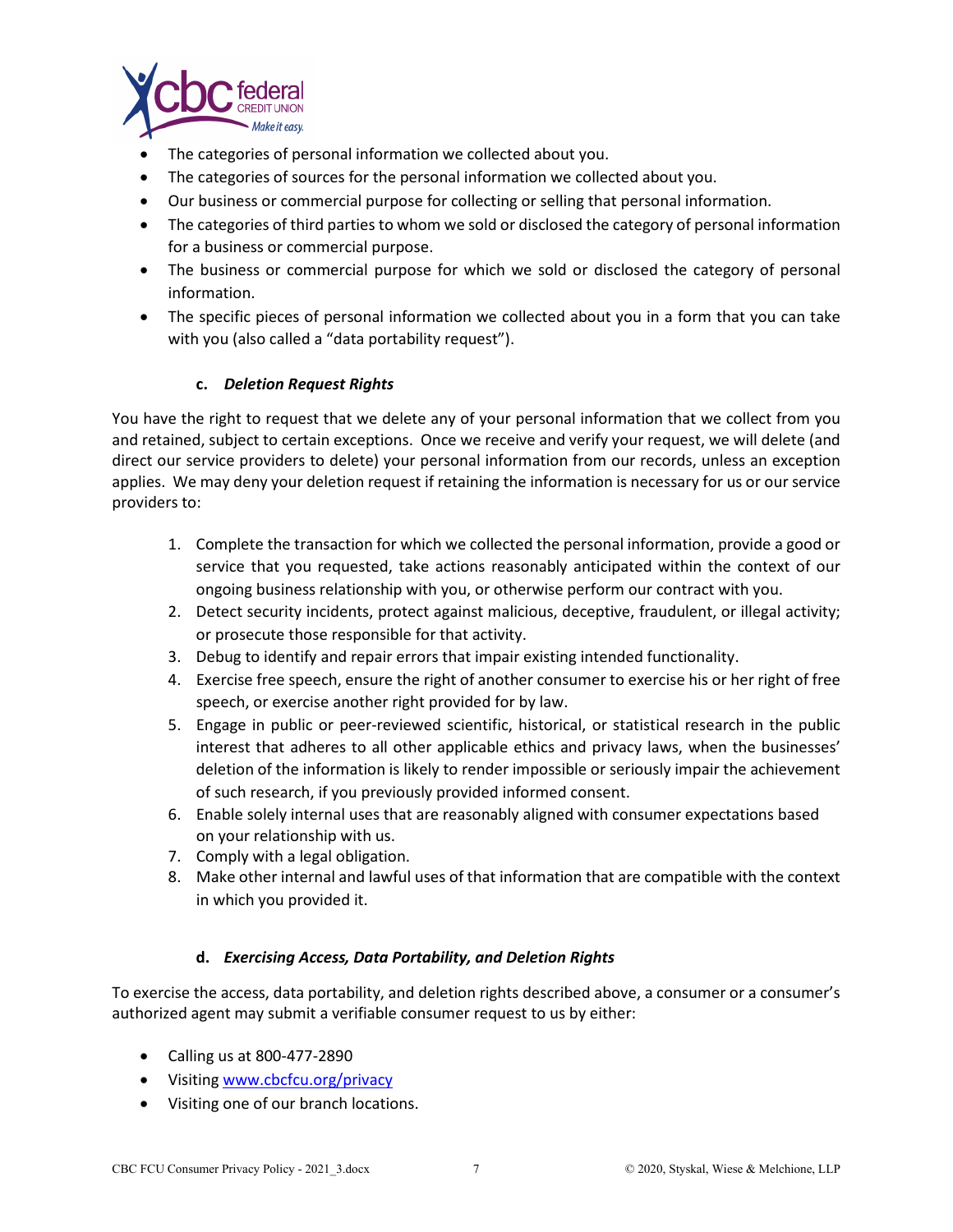

- The categories of personal information we collected about you.
- The categories of sources for the personal information we collected about you.
- Our business or commercial purpose for collecting or selling that personal information.
- The categories of third parties to whom we sold or disclosed the category of personal information for a business or commercial purpose.
- The business or commercial purpose for which we sold or disclosed the category of personal information.
- The specific pieces of personal information we collected about you in a form that you can take with you (also called a "data portability request").

### **c.** *Deletion Request Rights*

You have the right to request that we delete any of your personal information that we collect from you and retained, subject to certain exceptions. Once we receive and verify your request, we will delete (and direct our service providers to delete) your personal information from our records, unless an exception applies. We may deny your deletion request if retaining the information is necessary for us or our service providers to:

- 1. Complete the transaction for which we collected the personal information, provide a good or service that you requested, take actions reasonably anticipated within the context of our ongoing business relationship with you, or otherwise perform our contract with you.
- 2. Detect security incidents, protect against malicious, deceptive, fraudulent, or illegal activity; or prosecute those responsible for that activity.
- 3. Debug to identify and repair errors that impair existing intended functionality.
- 4. Exercise free speech, ensure the right of another consumer to exercise his or her right of free speech, or exercise another right provided for by law.
- 5. Engage in public or peer-reviewed scientific, historical, or statistical research in the public interest that adheres to all other applicable ethics and privacy laws, when the businesses' deletion of the information is likely to render impossible or seriously impair the achievement of such research, if you previously provided informed consent.
- 6. Enable solely internal uses that are reasonably aligned with consumer expectations based on your relationship with us.
- 7. Comply with a legal obligation.
- 8. Make other internal and lawful uses of that information that are compatible with the context in which you provided it.

### **d.** *Exercising Access, Data Portability, and Deletion Rights*

To exercise the access, data portability, and deletion rights described above, a consumer or a consumer's authorized agent may submit a verifiable consumer request to us by either:

- Calling us at 800-477-2890
- Visiting [www.cbcfcu.org/privacy](http://www.cbcfcu.org/privacy)
- Visiting one of our branch locations.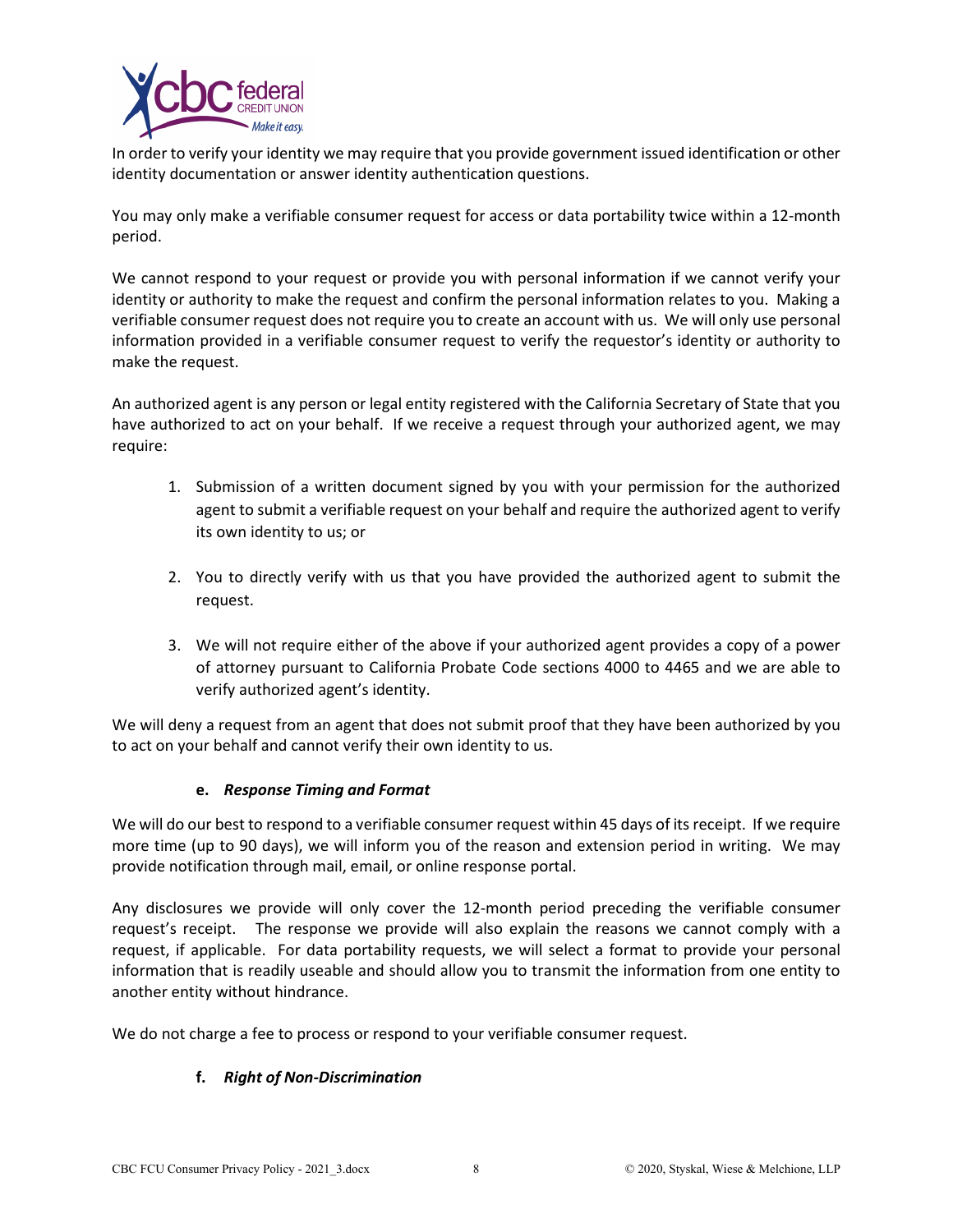

In order to verify your identity we may require that you provide government issued identification or other identity documentation or answer identity authentication questions.

You may only make a verifiable consumer request for access or data portability twice within a 12-month period.

We cannot respond to your request or provide you with personal information if we cannot verify your identity or authority to make the request and confirm the personal information relates to you. Making a verifiable consumer request does not require you to create an account with us. We will only use personal information provided in a verifiable consumer request to verify the requestor's identity or authority to make the request.

An authorized agent is any person or legal entity registered with the California Secretary of State that you have authorized to act on your behalf. If we receive a request through your authorized agent, we may require:

- 1. Submission of a written document signed by you with your permission for the authorized agent to submit a verifiable request on your behalf and require the authorized agent to verify its own identity to us; or
- 2. You to directly verify with us that you have provided the authorized agent to submit the request.
- 3. We will not require either of the above if your authorized agent provides a copy of a power of attorney pursuant to California Probate Code sections 4000 to 4465 and we are able to verify authorized agent's identity.

We will deny a request from an agent that does not submit proof that they have been authorized by you to act on your behalf and cannot verify their own identity to us.

### **e.** *Response Timing and Format*

We will do our best to respond to a verifiable consumer request within 45 days of its receipt. If we require more time (up to 90 days), we will inform you of the reason and extension period in writing. We may provide notification through mail, email, or online response portal.

Any disclosures we provide will only cover the 12-month period preceding the verifiable consumer request's receipt. The response we provide will also explain the reasons we cannot comply with a request, if applicable. For data portability requests, we will select a format to provide your personal information that is readily useable and should allow you to transmit the information from one entity to another entity without hindrance.

We do not charge a fee to process or respond to your verifiable consumer request.

# **f.** *Right of Non-Discrimination*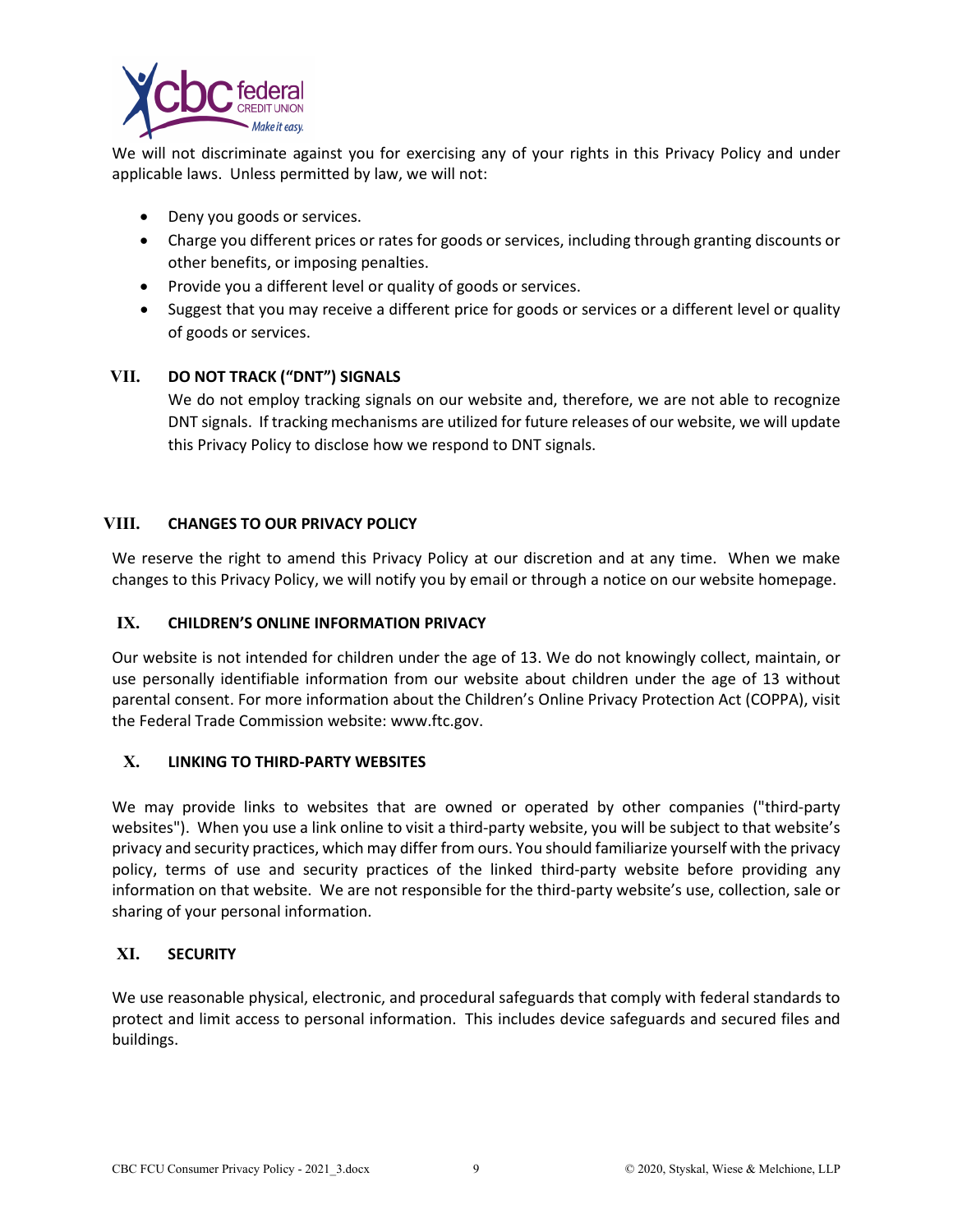

We will not discriminate against you for exercising any of your rights in this Privacy Policy and under applicable laws. Unless permitted by law, we will not:

- Deny you goods or services.
- Charge you different prices or rates for goods or services, including through granting discounts or other benefits, or imposing penalties.
- Provide you a different level or quality of goods or services.
- Suggest that you may receive a different price for goods or services or a different level or quality of goods or services.

# **VII. DO NOT TRACK ("DNT") SIGNALS**

We do not employ tracking signals on our website and, therefore, we are not able to recognize DNT signals. If tracking mechanisms are utilized for future releases of our website, we will update this Privacy Policy to disclose how we respond to DNT signals.

# **VIII. CHANGES TO OUR PRIVACY POLICY**

We reserve the right to amend this Privacy Policy at our discretion and at any time. When we make changes to this Privacy Policy, we will notify you by email or through a notice on our website homepage.

### **IX. CHILDREN'S ONLINE INFORMATION PRIVACY**

Our website is not intended for children under the age of 13. We do not knowingly collect, maintain, or use personally identifiable information from our website about children under the age of 13 without parental consent. For more information about the Children's Online Privacy Protection Act (COPPA), visit the Federal Trade Commission website: www.ftc.gov.

### **X. LINKING TO THIRD-PARTY WEBSITES**

We may provide links to websites that are owned or operated by other companies ("third-party websites"). When you use a link online to visit a third-party website, you will be subject to that website's privacy and security practices, which may differ from ours. You should familiarize yourself with the privacy policy, terms of use and security practices of the linked third-party website before providing any information on that website. We are not responsible for the third-party website's use, collection, sale or sharing of your personal information.

### **XI. SECURITY**

We use reasonable physical, electronic, and procedural safeguards that comply with federal standards to protect and limit access to personal information. This includes device safeguards and secured files and buildings.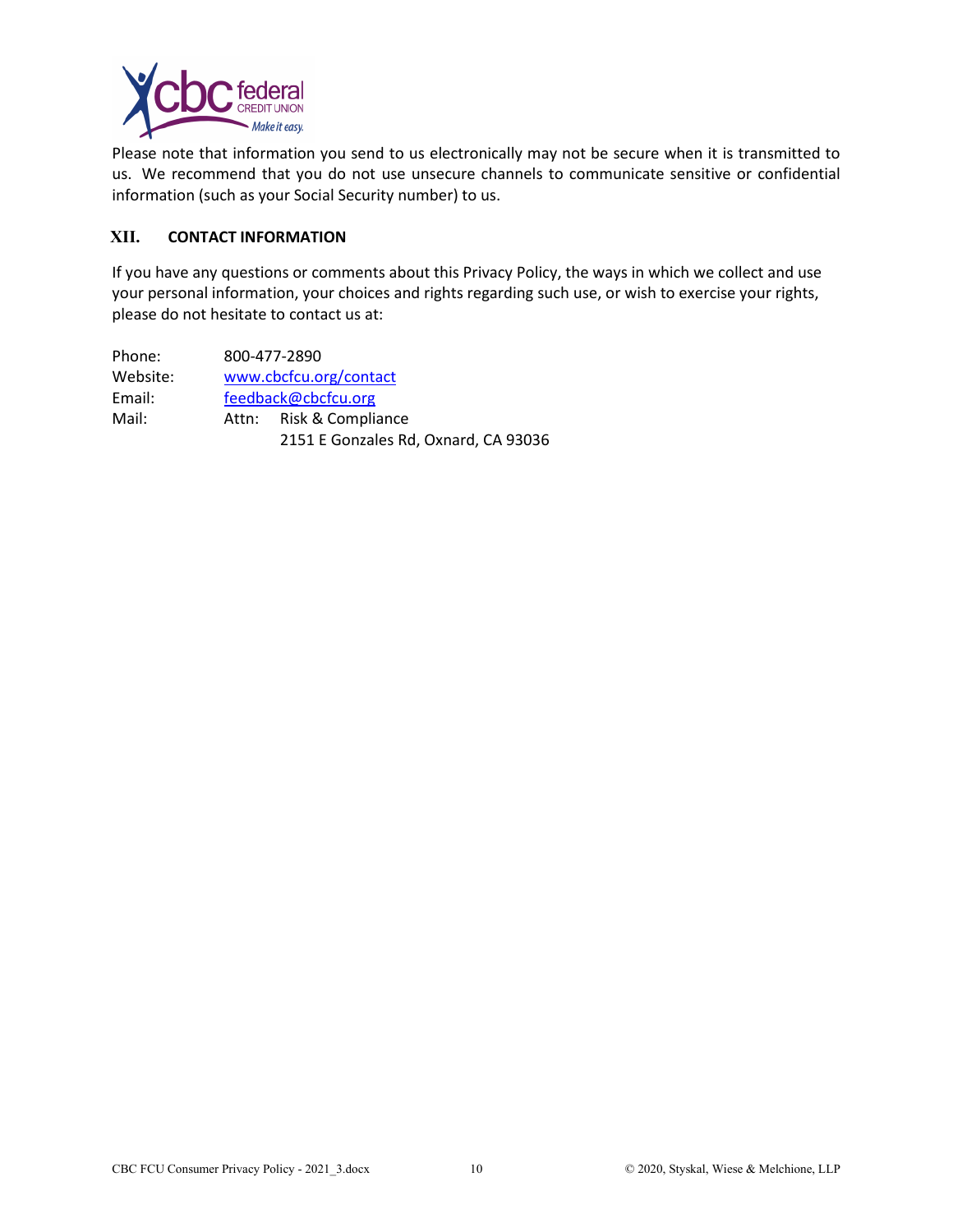

Please note that information you send to us electronically may not be secure when it is transmitted to us. We recommend that you do not use unsecure channels to communicate sensitive or confidential information (such as your Social Security number) to us.

### **XII. CONTACT INFORMATION**

If you have any questions or comments about this Privacy Policy, the ways in which we collect and use your personal information, your choices and rights regarding such use, or wish to exercise your rights, please do not hesitate to contact us at:

Phone: 800-477-2890 Website: [www.cbcfcu.org/contact](http://www.cbcfcu.org/contact) Email: [feedback@cbcfcu.org](mailto:feedback@cbcfcu.org) Mail: Attn: Risk & Compliance 2151 E Gonzales Rd, Oxnard, CA 93036